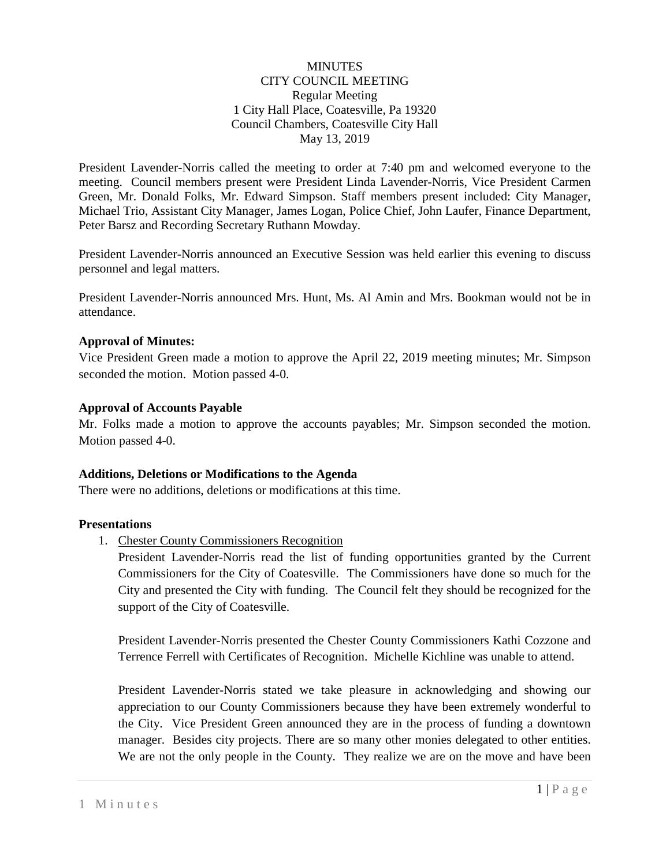### **MINUTES** CITY COUNCIL MEETING Regular Meeting 1 City Hall Place, Coatesville, Pa 19320 Council Chambers, Coatesville City Hall May 13, 2019

President Lavender-Norris called the meeting to order at 7:40 pm and welcomed everyone to the meeting. Council members present were President Linda Lavender-Norris, Vice President Carmen Green, Mr. Donald Folks, Mr. Edward Simpson. Staff members present included: City Manager, Michael Trio, Assistant City Manager, James Logan, Police Chief, John Laufer, Finance Department, Peter Barsz and Recording Secretary Ruthann Mowday.

President Lavender-Norris announced an Executive Session was held earlier this evening to discuss personnel and legal matters.

President Lavender-Norris announced Mrs. Hunt, Ms. Al Amin and Mrs. Bookman would not be in attendance.

### **Approval of Minutes:**

Vice President Green made a motion to approve the April 22, 2019 meeting minutes; Mr. Simpson seconded the motion. Motion passed 4-0.

### **Approval of Accounts Payable**

Mr. Folks made a motion to approve the accounts payables; Mr. Simpson seconded the motion. Motion passed 4-0.

#### **Additions, Deletions or Modifications to the Agenda**

There were no additions, deletions or modifications at this time.

#### **Presentations**

1. Chester County Commissioners Recognition

President Lavender-Norris read the list of funding opportunities granted by the Current Commissioners for the City of Coatesville. The Commissioners have done so much for the City and presented the City with funding. The Council felt they should be recognized for the support of the City of Coatesville.

President Lavender-Norris presented the Chester County Commissioners Kathi Cozzone and Terrence Ferrell with Certificates of Recognition. Michelle Kichline was unable to attend.

President Lavender-Norris stated we take pleasure in acknowledging and showing our appreciation to our County Commissioners because they have been extremely wonderful to the City. Vice President Green announced they are in the process of funding a downtown manager. Besides city projects. There are so many other monies delegated to other entities. We are not the only people in the County. They realize we are on the move and have been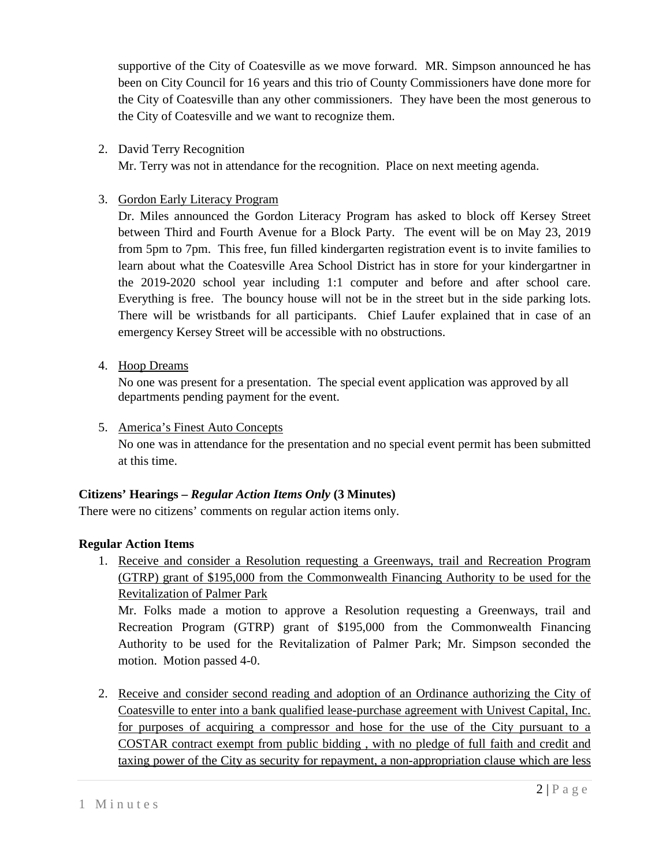supportive of the City of Coatesville as we move forward. MR. Simpson announced he has been on City Council for 16 years and this trio of County Commissioners have done more for the City of Coatesville than any other commissioners. They have been the most generous to the City of Coatesville and we want to recognize them.

2. David Terry Recognition

Mr. Terry was not in attendance for the recognition. Place on next meeting agenda.

### 3. Gordon Early Literacy Program

Dr. Miles announced the Gordon Literacy Program has asked to block off Kersey Street between Third and Fourth Avenue for a Block Party. The event will be on May 23, 2019 from 5pm to 7pm. This free, fun filled kindergarten registration event is to invite families to learn about what the Coatesville Area School District has in store for your kindergartner in the 2019-2020 school year including 1:1 computer and before and after school care. Everything is free. The bouncy house will not be in the street but in the side parking lots. There will be wristbands for all participants. Chief Laufer explained that in case of an emergency Kersey Street will be accessible with no obstructions.

4. Hoop Dreams

No one was present for a presentation. The special event application was approved by all departments pending payment for the event.

5. America's Finest Auto Concepts

No one was in attendance for the presentation and no special event permit has been submitted at this time.

# **Citizens' Hearings –** *Regular Action Items Only* **(3 Minutes)**

There were no citizens' comments on regular action items only.

# **Regular Action Items**

1. Receive and consider a Resolution requesting a Greenways, trail and Recreation Program (GTRP) grant of \$195,000 from the Commonwealth Financing Authority to be used for the Revitalization of Palmer Park

Mr. Folks made a motion to approve a Resolution requesting a Greenways, trail and Recreation Program (GTRP) grant of \$195,000 from the Commonwealth Financing Authority to be used for the Revitalization of Palmer Park; Mr. Simpson seconded the motion. Motion passed 4-0.

2. Receive and consider second reading and adoption of an Ordinance authorizing the City of Coatesville to enter into a bank qualified lease-purchase agreement with Univest Capital, Inc. for purposes of acquiring a compressor and hose for the use of the City pursuant to a COSTAR contract exempt from public bidding , with no pledge of full faith and credit and taxing power of the City as security for repayment, a non-appropriation clause which are less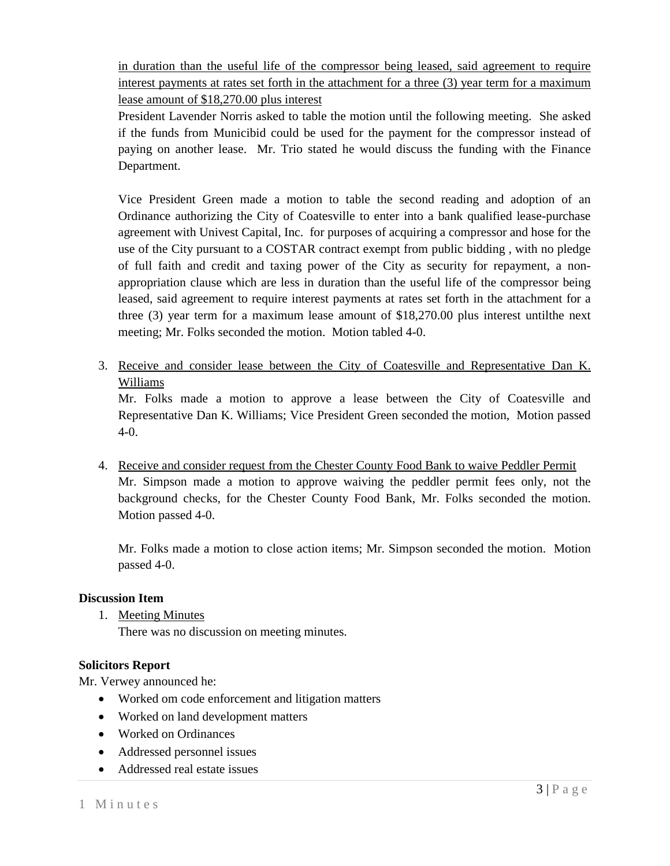in duration than the useful life of the compressor being leased, said agreement to require interest payments at rates set forth in the attachment for a three (3) year term for a maximum lease amount of \$18,270.00 plus interest

President Lavender Norris asked to table the motion until the following meeting. She asked if the funds from Municibid could be used for the payment for the compressor instead of paying on another lease. Mr. Trio stated he would discuss the funding with the Finance Department.

Vice President Green made a motion to table the second reading and adoption of an Ordinance authorizing the City of Coatesville to enter into a bank qualified lease-purchase agreement with Univest Capital, Inc. for purposes of acquiring a compressor and hose for the use of the City pursuant to a COSTAR contract exempt from public bidding , with no pledge of full faith and credit and taxing power of the City as security for repayment, a nonappropriation clause which are less in duration than the useful life of the compressor being leased, said agreement to require interest payments at rates set forth in the attachment for a three (3) year term for a maximum lease amount of \$18,270.00 plus interest untilthe next meeting; Mr. Folks seconded the motion. Motion tabled 4-0.

3. Receive and consider lease between the City of Coatesville and Representative Dan K. Williams

Mr. Folks made a motion to approve a lease between the City of Coatesville and Representative Dan K. Williams; Vice President Green seconded the motion, Motion passed 4-0.

4. Receive and consider request from the Chester County Food Bank to waive Peddler Permit Mr. Simpson made a motion to approve waiving the peddler permit fees only, not the background checks, for the Chester County Food Bank, Mr. Folks seconded the motion. Motion passed 4-0.

Mr. Folks made a motion to close action items; Mr. Simpson seconded the motion. Motion passed 4-0.

### **Discussion Item**

1. Meeting Minutes

There was no discussion on meeting minutes.

### **Solicitors Report**

Mr. Verwey announced he:

- Worked om code enforcement and litigation matters
- Worked on land development matters
- Worked on Ordinances
- Addressed personnel issues
- Addressed real estate issues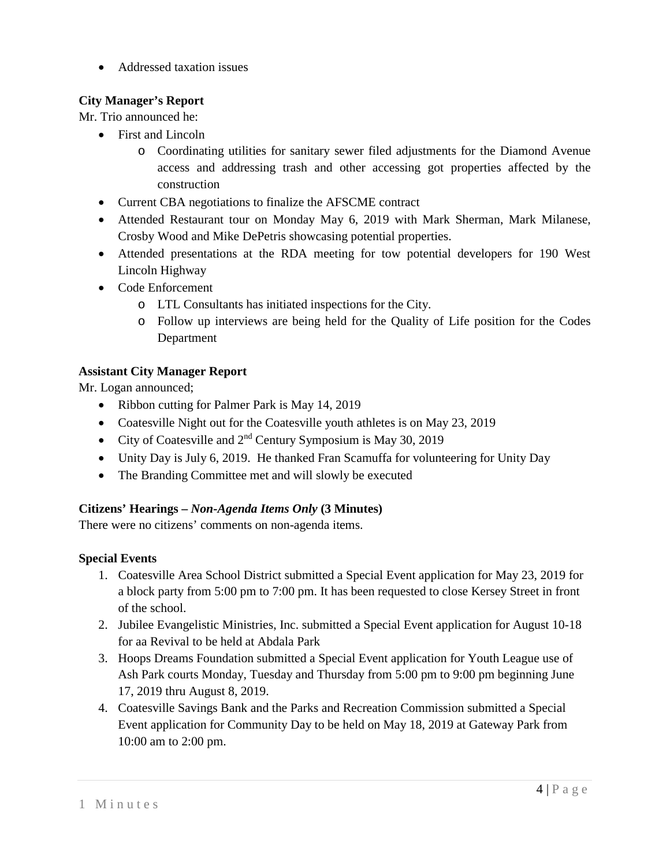• Addressed taxation issues

# **City Manager's Report**

Mr. Trio announced he:

- First and Lincoln
	- o Coordinating utilities for sanitary sewer filed adjustments for the Diamond Avenue access and addressing trash and other accessing got properties affected by the construction
- Current CBA negotiations to finalize the AFSCME contract
- Attended Restaurant tour on Monday May 6, 2019 with Mark Sherman, Mark Milanese, Crosby Wood and Mike DePetris showcasing potential properties.
- Attended presentations at the RDA meeting for tow potential developers for 190 West Lincoln Highway
- Code Enforcement
	- o LTL Consultants has initiated inspections for the City.
	- o Follow up interviews are being held for the Quality of Life position for the Codes Department

# **Assistant City Manager Report**

Mr. Logan announced;

- Ribbon cutting for Palmer Park is May 14, 2019
- Coatesville Night out for the Coatesville youth athletes is on May 23, 2019
- City of Coatesville and  $2<sup>nd</sup>$  Century Symposium is May 30, 2019
- Unity Day is July 6, 2019. He thanked Fran Scamuffa for volunteering for Unity Day
- The Branding Committee met and will slowly be executed

# **Citizens' Hearings –** *Non-Agenda Items Only* **(3 Minutes)**

There were no citizens' comments on non-agenda items.

# **Special Events**

- 1. Coatesville Area School District submitted a Special Event application for May 23, 2019 for a block party from 5:00 pm to 7:00 pm. It has been requested to close Kersey Street in front of the school.
- 2. Jubilee Evangelistic Ministries, Inc. submitted a Special Event application for August 10-18 for aa Revival to be held at Abdala Park
- 3. Hoops Dreams Foundation submitted a Special Event application for Youth League use of Ash Park courts Monday, Tuesday and Thursday from 5:00 pm to 9:00 pm beginning June 17, 2019 thru August 8, 2019.
- 4. Coatesville Savings Bank and the Parks and Recreation Commission submitted a Special Event application for Community Day to be held on May 18, 2019 at Gateway Park from 10:00 am to 2:00 pm.